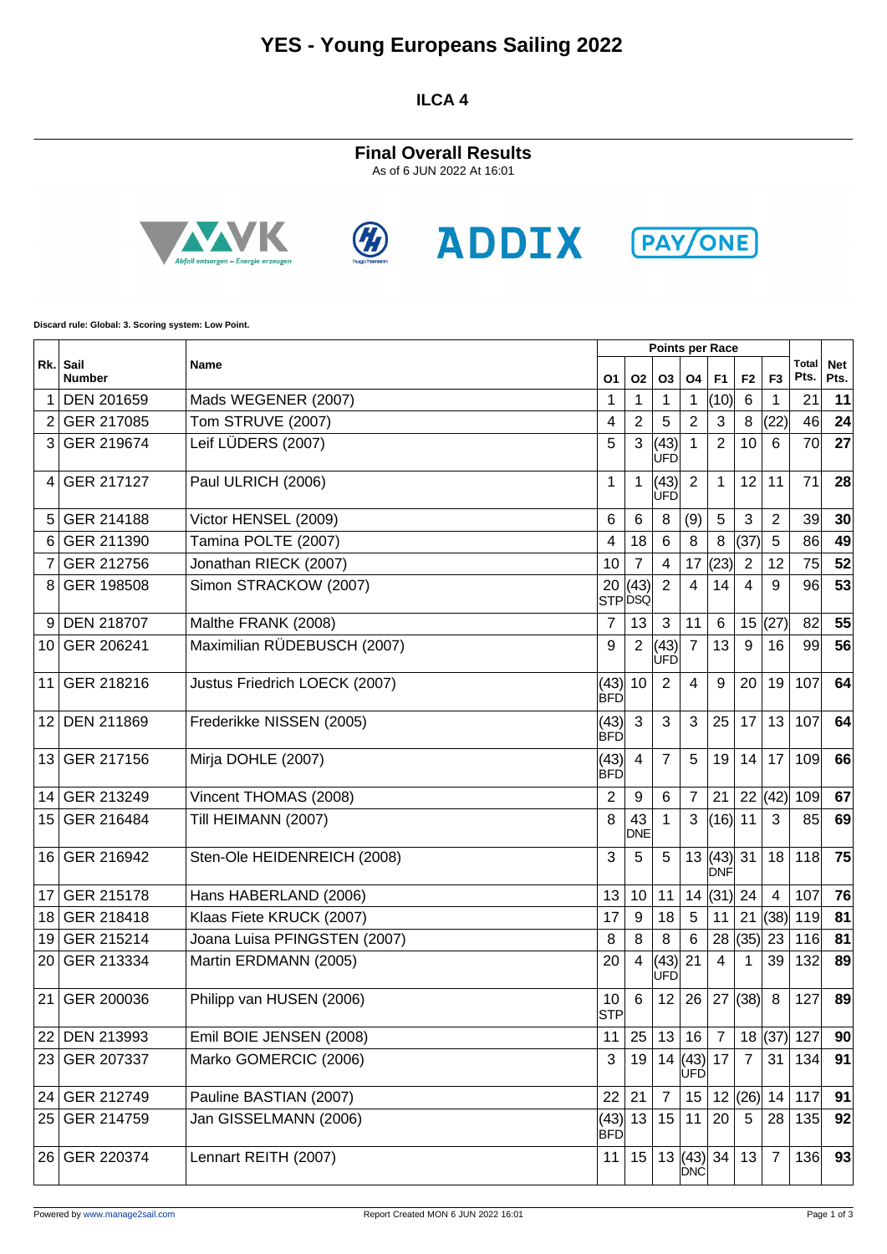## **YES - Young Europeans Sailing 2022**

**ILCA 4**

**Final Overall Results** As of 6 JUN 2022 At 16:01









**Discard rule: Global: 3. Scoring system: Low Point.**

|                 |                           |                               |                    |                  |                     |                             | <b>Points per Race</b>  |                |                |               |                    |
|-----------------|---------------------------|-------------------------------|--------------------|------------------|---------------------|-----------------------------|-------------------------|----------------|----------------|---------------|--------------------|
|                 | Rk. Sail<br><b>Number</b> | Name                          | О1                 | <b>O2</b>        | <b>O3</b>           | <b>O4</b>                   | F <sub>1</sub>          | F <sub>2</sub> | F <sub>3</sub> | Total<br>Pts. | <b>Net</b><br>Pts. |
| 1               | DEN 201659                | Mads WEGENER (2007)           | 1                  | 1                | 1                   | 1                           | (10)                    | 6              | 1              | 21            | 11                 |
| 2               | GER 217085                | Tom STRUVE (2007)             | 4                  | 2                | 5                   | $\overline{2}$              | 3                       | 8              | (22)           | 46            | 24                 |
| 3               | GER 219674                | Leif LÜDERS (2007)            | 5                  | 3                | (43)<br>lufd        |                             | $\overline{2}$          | 10             | 6              | 70            | 27                 |
| 4               | GER 217127                | Paul ULRICH (2006)            | 1                  | 1                | (43)<br><b>IUFD</b> | $\overline{2}$              | 1                       | 12             | 11             | 71            | 28                 |
| 5               | GER 214188                | Victor HENSEL (2009)          | 6                  | 6                | 8                   | (9)                         | 5                       | 3              | $\overline{c}$ | 39            | 30                 |
| 6               | GER 211390                | Tamina POLTE (2007)           | 4                  | 18               | 6                   | 8                           | 8                       | (37)           | $\overline{5}$ | 86            | 49                 |
|                 | GER 212756                | Jonathan RIECK (2007)         | 10                 | $\overline{7}$   | 4                   | 17                          | (23)                    | $\overline{2}$ | 12             | 75            | 52                 |
| 8               | GER 198508                | Simon STRACKOW (2007)         | 20                 | (43)<br>STPDSQ   | $\overline{2}$      | $\overline{4}$              | 14                      | 4              | 9              | 96            | 53                 |
| 9               | <b>DEN 218707</b>         | Malthe FRANK (2008)           | 7                  | 13               | 3                   | 11                          | 6                       | 15             | (27)           | 82            | 55                 |
| 10              | GER 206241                | Maximilian RÜDEBUSCH (2007)   | 9                  | $\overline{2}$   | (43)<br>lufd        | $\overline{7}$              | 13                      | 9              | 16             | 99            | 56                 |
| 11              | GER 218216                | Justus Friedrich LOECK (2007) | (43)<br><b>BFD</b> | 10               | $\overline{2}$      | $\overline{4}$              | 9                       | 20             | 19             | 107           | 64                 |
| 12 <sup>°</sup> | <b>DEN 211869</b>         | Frederikke NISSEN (2005)      | (43)<br><b>BFD</b> | 3                | 3                   | 3                           | 25                      | 17             | 13             | 107           | 64                 |
| 13              | GER 217156                | Mirja DOHLE (2007)            | (43)<br><b>BFD</b> | 4                | $\overline{7}$      | 5                           | 19                      | 14             | 17             | 109           | 66                 |
| 14              | GER 213249                | Vincent THOMAS (2008)         | 2                  | 9                | 6                   | $\overline{7}$              | 21                      |                | 22   (42)      | 109           | 67                 |
| 15              | GER 216484                | Till HEIMANN (2007)           | 8                  | 43<br><b>DNE</b> | 1                   | 3                           | $(16)$ 11               |                | 3              | 85            | 69                 |
| 16              | GER 216942                | Sten-Ole HEIDENREICH (2008)   | 3                  | 5                | 5                   | 13                          | $(43)$ 31<br><b>DNF</b> |                | 18             | 118           | 75                 |
| 17              | GER 215178                | Hans HABERLAND (2006)         | 13                 | 10               | 11                  | 14                          | $(31)$ 24               |                | $\overline{4}$ | 107           | 76                 |
| 18              | GER 218418                | Klaas Fiete KRUCK (2007)      | 17                 | 9                | 18                  | 5                           | 11                      | 21             | (38)           | 119           | 81                 |
| 19              | GER 215214                | Joana Luisa PFINGSTEN (2007)  | 8                  | 8                | 8                   | $\,6\,$                     | 28                      | (35)           | 23             | 116           | 81                 |
| 20              | GER 213334                | Martin ERDMANN (2005)         | 20                 | 4                | (43)<br>UFD         | 21                          | 4                       | 1              | 39             | 132           | 89                 |
| 21              | GER 200036                | Philipp van HUSEN (2006)      | 10<br><b>STP</b>   | 6                | 12                  | 26                          | 27                      | (38)           | 8              | 127           | 89                 |
| 22              | <b>DEN 213993</b>         | Emil BOIE JENSEN (2008)       | 11                 | 25               | 13                  | 16                          | $\overline{7}$          |                | 18(37)         | 127           | 90                 |
| 23              | GER 207337                | Marko GOMERCIC (2006)         | 3                  | 19               |                     | 14   (43)<br><b>UFD</b>     | 17                      | $\overline{7}$ | 31             | 134           | 91                 |
| 24              | GER 212749                | Pauline BASTIAN (2007)        | 22                 | 21               | $\overline{7}$      | 15                          |                         | 12(26)         | 14             | 117           | 91                 |
|                 | 25 GER 214759             | Jan GISSELMANN (2006)         | BFD                | (43) 13          | 15 11               |                             | 20                      | 5              | 28             | 135           | 92                 |
| 26 <sub>1</sub> | GER 220374                | Lennart REITH (2007)          | 11                 | 15               |                     | 13  (43)   34<br><b>DNC</b> |                         | 13             | $\overline{7}$ | 136           | 93                 |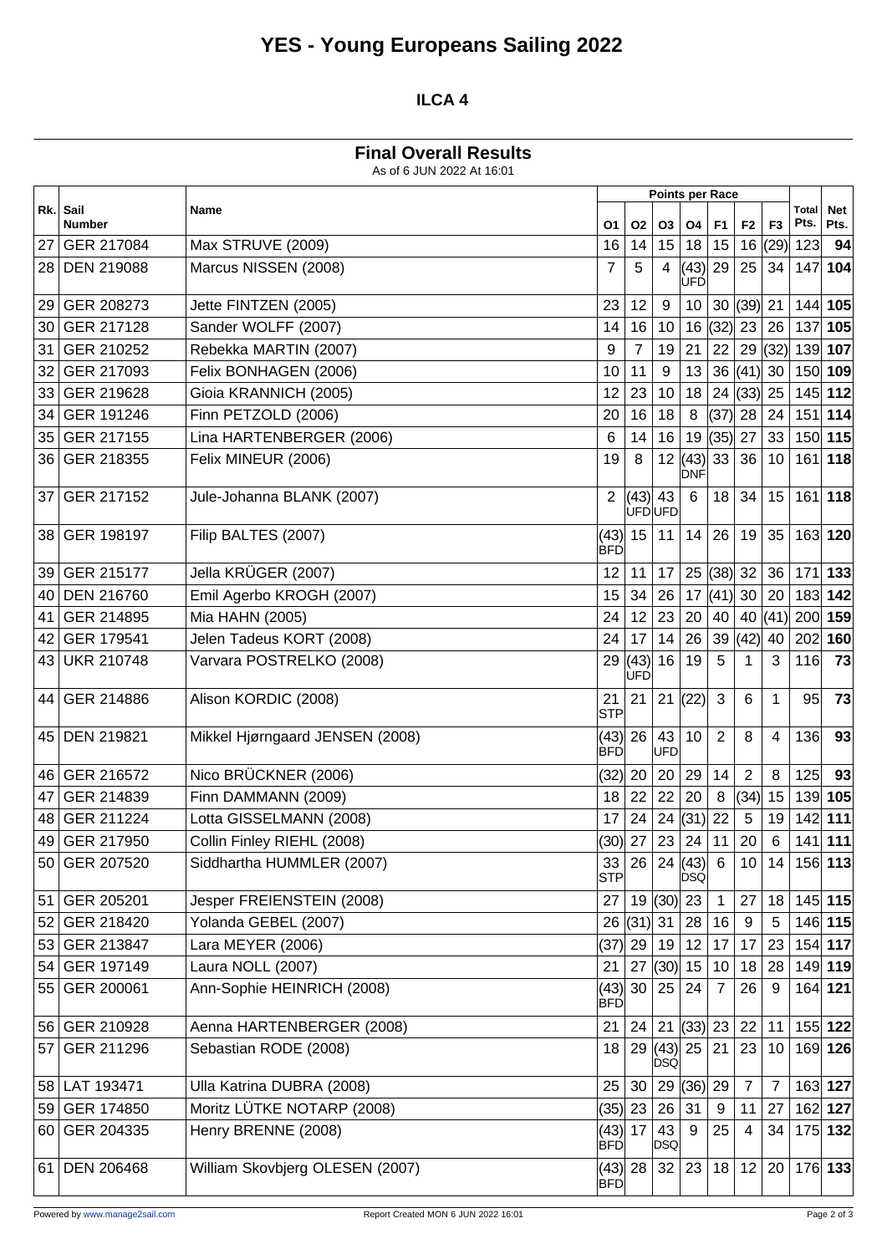# **YES - Young Europeans Sailing 2022**

### **ILCA 4**

#### **Final Overall Results**

As of 6 JUN 2022 At 16:01

|     | Sail<br><b>Number</b> | Name                            | <b>Points per Race</b>  |             |                       |                    |                |                 |                |               |                    |
|-----|-----------------------|---------------------------------|-------------------------|-------------|-----------------------|--------------------|----------------|-----------------|----------------|---------------|--------------------|
| Rk. |                       |                                 | О1                      | <b>O2</b>   | O <sub>3</sub>        | O <sub>4</sub>     | F <sub>1</sub> | F <sub>2</sub>  | F <sub>3</sub> | Total<br>Pts. | <b>Net</b><br>Pts. |
| 27  | GER 217084            | Max STRUVE (2009)               | 16                      | 14          | 15                    | 18                 | 15             |                 | 16 $(29)$      | 123           | 94                 |
| 28  | <b>DEN 219088</b>     | Marcus NISSEN (2008)            | 7                       | 5           | 4                     | (43)<br><b>UFD</b> | 29             | 25              | 34             | 147           | 104                |
| 29  | GER 208273            | Jette FINTZEN (2005)            | 23                      | 12          | 9                     | 10                 | 30             | $(39)$ 21       |                | 144 105       |                    |
| 30  | GER 217128            | Sander WOLFF (2007)             | 14                      | 16          | 10                    | 16                 | (32)           | 23              | 26             | 137           | 105                |
| 31  | GER 210252            | Rebekka MARTIN (2007)           | 9                       | 7           | 19                    | 21                 | 22             | 29              | (32)           | 139 107       |                    |
| 32  | GER 217093            | Felix BONHAGEN (2006)           | 10                      | 11          | 9                     | 13                 | 36             | $(41)$ 30       |                | 150 109       |                    |
| 33  | GER 219628            | Gioia KRANNICH (2005)           | 12                      | 23          | 10                    | 18                 | 24             | (33)            | 25             | 145 112       |                    |
| 34  | GER 191246            | Finn PETZOLD (2006)             | 20                      | 16          | 18                    | 8                  | (37)           | 28              | 24             |               | $151$ 114          |
| 35  | GER 217155            | Lina HARTENBERGER (2006)        | 6                       | 14          | 16                    | 19                 | (35)           | 27              | 33             | 150 115       |                    |
| 36  | GER 218355            | Felix MINEUR (2006)             | 19                      | 8           | 12                    | (43)<br><b>DNF</b> | 33             | 36              | 10             | 161           | 118                |
| 37  | GER 217152            | Jule-Johanna BLANK (2007)       | 2                       | (43)        | 43<br><b>UFDUFD</b>   | 6                  | 18             | 34              | 15             | 161           | 118                |
| 38  | GER 198197            | Filip BALTES (2007)             | (43)<br>BFD             | 15          | 11                    | 14                 | 26             | 19              | 35             | 163 120       |                    |
| 39  | GER 215177            | Jella KRÜGER (2007)             | 12                      | 11          | 17                    | 25                 | (38)           | 32              | 36             | 171           | 133                |
| 40  | <b>DEN 216760</b>     | Emil Agerbo KROGH (2007)        | 15                      | 34          | 26                    | 17                 | (41)           | 30              | 20             | 183 142       |                    |
| 41  | GER 214895            | Mia HAHN (2005)                 | 24                      | 12          | 23                    | 20                 | 40             | 40              | (41)           | 200 159       |                    |
| 42  | GER 179541            | Jelen Tadeus KORT (2008)        | 24                      | 17          | 14                    | 26                 | 39             | (42)            | 40             | 202           | 160                |
| 43  | <b>UKR 210748</b>     | Varvara POSTRELKO (2008)        | 29                      | (43)<br>UFD | 16                    | 19                 | 5              | 1               | 3              | 116           | 73                 |
| 44  | GER 214886            | Alison KORDIC (2008)            | 21<br><b>STP</b>        | 21          | 21                    | (22)               | 3              | 6               | $\mathbf 1$    | 95            | 73                 |
| 45  | <b>DEN 219821</b>     | Mikkel Hjørngaard JENSEN (2008) | (43)<br><b>BFD</b>      | 26          | 43<br><b>UFD</b>      | 10                 | 2              | 8               | 4              | 136           | 93                 |
| 46  | GER 216572            | Nico BRÜCKNER (2006)            | (32)                    | 20          | 20                    | 29                 | 14             | $\overline{2}$  | 8              | 125           | 93                 |
| 47  | GER 214839            | Finn DAMMANN (2009)             | 18                      | 22          | 22                    | 20                 | 8              | (34)            | 15             | 139           | 105                |
| 48  | GER 211224            | Lotta GISSELMANN (2008)         | 17                      | 24          | 24                    | (31)               | 22             | 5               | 19             | 142 111       |                    |
| 49  | GER 217950            | Collin Finley RIEHL (2008)      | (30)  27                |             | 23                    | 24                 | 11             | 20              | 6              | $141$ 111     |                    |
|     | 50 GER 207520         | Siddhartha HUMMLER (2007)       | 33<br><b>STP</b>        |             | 26 24(43)             | <b>DSQ</b>         | 6              | 10 <sup>1</sup> | 14             | 156 113       |                    |
| 51  | GER 205201            | Jesper FREIENSTEIN (2008)       | 27                      |             | 19  (30)  23          |                    | 1              | 27              | 18             | 145 115       |                    |
|     | 52 GER 218420         | Yolanda GEBEL (2007)            |                         | 26 (31) 31  |                       | 28                 | 16             | 9               | 5              |               | 146 115            |
|     | 53 GER 213847         | Lara MEYER (2006)               | (37)  29                |             | 19                    | 12                 | 17             | 17              | 23             | 154 117       |                    |
|     | 54 GER 197149         | Laura NOLL (2007)               | 21                      | 27          | $(30)$ 15             |                    | 10             | 18              | 28             | 149 119       |                    |
|     | 55 GER 200061         | Ann-Sophie HEINRICH (2008)      | <b>BFD</b>              | (43) 30     | 25                    | 24                 | 7              | 26              | 9              | 164 121       |                    |
|     | 56 GER 210928         | Aenna HARTENBERGER (2008)       | 21                      | 24          | 21                    | (33)               | 23             | 22              | 11             |               | 155 122            |
| 57  | GER 211296            | Sebastian RODE (2008)           | 18                      | 29          | (43) 25<br><b>DSQ</b> |                    | 21             | 23              | 10             | 169 126       |                    |
|     | 58 LAT 193471         | Ulla Katrina DUBRA (2008)       | 25                      | 30          |                       | 29(36)             | 29             | $\overline{7}$  | $\overline{7}$ |               | 163 127            |
|     | 59 GER 174850         | Moritz LÜTKE NOTARP (2008)      | $(35)$ 23               |             | 26                    | 31                 | 9              | 11              | 27             |               | 162 127            |
|     | 60 GER 204335         | Henry BRENNE (2008)             | (43) 17<br><b>BFD</b>   |             | 43<br>DSQ             | 9                  | 25             | 4               | 34             | 175 132       |                    |
| 61  | <b>DEN 206468</b>     | William Skovbjerg OLESEN (2007) | $(43)$ 28<br><b>BFD</b> |             | 32                    | 23                 | 18             | 12              | 20             |               | 176 133            |